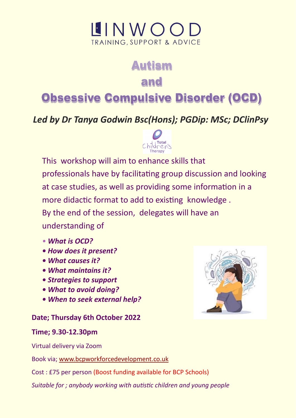# $IINWOO$ **TRAINING, SUPPORT & ADVICE**

# **Autism**

## and

# **Obsessive Compulsive Disorder (OCD)**

### *Led by Dr Tanya Godwin Bsc(Hons); PGDip: MSc; DClinPsy*



This workshop will aim to enhance skills that professionals have by facilitating group discussion and looking at case studies, as well as providing some information in a more didactic format to add to existing knowledge . By the end of the session, delegates will have an understanding of

- *What is OCD?*
- *How does it present?*
- *What causes it?*
- *What maintains it?*
- *Strategies to support*
- *What to avoid doing?*
- *When to seek external help?*

### **Date; Thursday 6th October 2022**

### **Time; 9.30-12.30pm**

Virtual delivery via Zoom

Book via; [www.bcpworkforcedevelopment.co.uk](https://www.bcpworkforcedevelopment.co.uk/courses/bookings/c_detail.asp?cid=23669&iscancelled=0&curpage=1&keyword=&ds=1&unconfirmed=&cs=&subid=&keystage=255&sdate=&searchcode=&asearch=&tutid=&estid=&sday=&smonth=&syear=&targetid=&cal=1&calday=6&calmonth=10)

Cost : £75 per person (Boost funding available for BCP Schools)

*Suitable for ; anybody working with autistic children and young people*